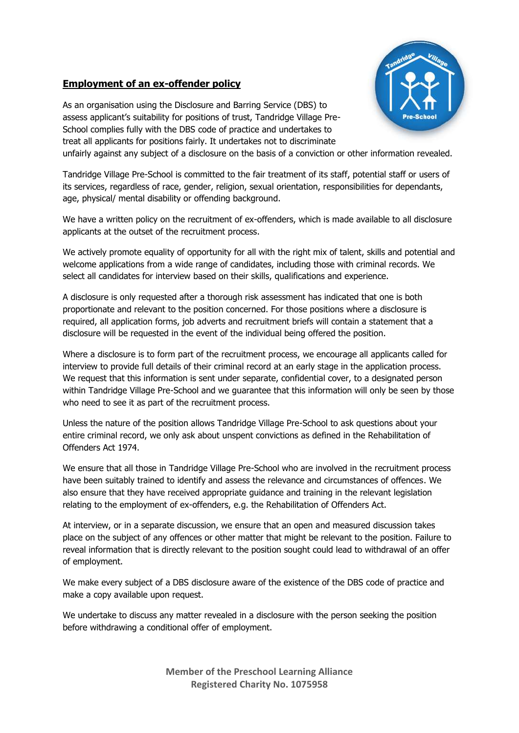## **Employment of an ex-offender policy**



As an organisation using the Disclosure and Barring Service (DBS) to assess applicant's suitability for positions of trust, Tandridge Village Pre-School complies fully with the DBS code of practice and undertakes to treat all applicants for positions fairly. It undertakes not to discriminate

unfairly against any subject of a disclosure on the basis of a conviction or other information revealed.

Tandridge Village Pre-School is committed to the fair treatment of its staff, potential staff or users of its services, regardless of race, gender, religion, sexual orientation, responsibilities for dependants, age, physical/ mental disability or offending background.

We have a written policy on the recruitment of ex-offenders, which is made available to all disclosure applicants at the outset of the recruitment process.

We actively promote equality of opportunity for all with the right mix of talent, skills and potential and welcome applications from a wide range of candidates, including those with criminal records. We select all candidates for interview based on their skills, qualifications and experience.

A disclosure is only requested after a thorough risk assessment has indicated that one is both proportionate and relevant to the position concerned. For those positions where a disclosure is required, all application forms, job adverts and recruitment briefs will contain a statement that a disclosure will be requested in the event of the individual being offered the position.

Where a disclosure is to form part of the recruitment process, we encourage all applicants called for interview to provide full details of their criminal record at an early stage in the application process. We request that this information is sent under separate, confidential cover, to a designated person within Tandridge Village Pre-School and we guarantee that this information will only be seen by those who need to see it as part of the recruitment process.

Unless the nature of the position allows Tandridge Village Pre-School to ask questions about your entire criminal record, we only ask about unspent convictions as defined in the Rehabilitation of Offenders Act 1974.

We ensure that all those in Tandridge Village Pre-School who are involved in the recruitment process have been suitably trained to identify and assess the relevance and circumstances of offences. We also ensure that they have received appropriate guidance and training in the relevant legislation relating to the employment of ex-offenders, e.g. the Rehabilitation of Offenders Act.

At interview, or in a separate discussion, we ensure that an open and measured discussion takes place on the subject of any offences or other matter that might be relevant to the position. Failure to reveal information that is directly relevant to the position sought could lead to withdrawal of an offer of employment.

We make every subject of a DBS disclosure aware of the existence of the DBS code of practice and make a copy available upon request.

We undertake to discuss any matter revealed in a disclosure with the person seeking the position before withdrawing a conditional offer of employment.

> **Member of the Preschool Learning Alliance Registered Charity No. 1075958**